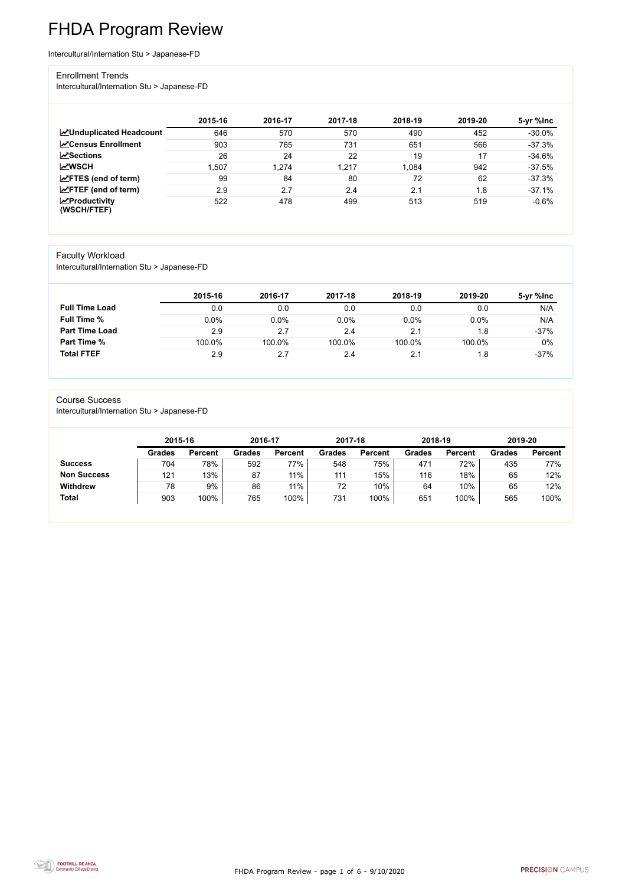FHDA Program Review - page 1 of 6 - 9/10/2020



# FHDA Program Review

Intercultural/Internation Stu > Japanese-FD

#### Enrollment Trends

Intercultural/Internation Stu > Japanese-FD

|                                    | 2015-16 | 2016-17 | 2017-18 | 2018-19 | 2019-20 | 5-yr %lnc |
|------------------------------------|---------|---------|---------|---------|---------|-----------|
| <b>ZUnduplicated Headcount</b>     | 646     | 570     | 570     | 490     | 452     | $-30.0%$  |
| <b>∠</b> Census Enrollment         | 903     | 765     | 731     | 651     | 566     | $-37.3%$  |
| $\sqrt{S}$ ections                 | 26      | 24      | 22      | 19      | 17      | $-34.6%$  |
| <b>MWSCH</b>                       | .507    | 1,274   | 1,217   | 1,084   | 942     | $-37.5%$  |
| $\angle$ FTES (end of term)        | 99      | 84      | 80      | 72      | 62      | $-37.3%$  |
| $\angle$ FTEF (end of term)        | 2.9     | 2.7     | 2.4     | 2.1     | 1.8     | $-37.1%$  |
| $\chi$ Productivity<br>(WSCH/FTEF) | 522     | 478     | 499     | 513     | 519     | $-0.6%$   |

### Faculty Workload

Intercultural/Internation Stu > Japanese-FD

|                       | 2015-16 | 2016-17 | 2017-18 | 2018-19 | 2019-20 | 5-yr %lnc |
|-----------------------|---------|---------|---------|---------|---------|-----------|
| <b>Full Time Load</b> | 0.0     | 0.0     | 0.0     | 0.0     | 0.0     | N/A       |
| <b>Full Time %</b>    | 0.0%    | 0.0%    | 0.0%    | 0.0%    | 0.0%    | N/A       |
| <b>Part Time Load</b> | 2.9     | 2.7     | 2.4     | 2.1     | 1.8     | $-37%$    |
| <b>Part Time %</b>    | 100.0%  | 100.0%  | 100.0%  | 100.0%  | 100.0%  | 0%        |
| <b>Total FTEF</b>     | 2.9     | 2.7     | 2.4     |         | 1.8     | $-37%$    |

#### Course Success

Intercultural/Internation Stu > Japanese-FD

|                    | 2015-16       |                | 2016-17       |                | 2017-18       |                | 2018-19       |                | 2019-20       |                |
|--------------------|---------------|----------------|---------------|----------------|---------------|----------------|---------------|----------------|---------------|----------------|
|                    | <b>Grades</b> | <b>Percent</b> | <b>Grades</b> | <b>Percent</b> | <b>Grades</b> | <b>Percent</b> | <b>Grades</b> | <b>Percent</b> | <b>Grades</b> | <b>Percent</b> |
| <b>Success</b>     | 704           | 78%            | 592           | 77%            | 548           | 75%            | 471           | 72%            | 435           | 77%            |
| <b>Non Success</b> | 121           | 13%            | 87            | $11\%$         | 111           | 15%            | 116           | 18%            | 65            | 12%            |
| <b>Withdrew</b>    | 78            | 9%             | 86            | 11%            | 72            | 10%            | 64            | 10%            | 65            | 12%            |
| <b>Total</b>       | 903           | 100%           | 765           | 100%           | 731           | 100%           | 651           | 100%           | 565           | 100%           |
|                    |               |                |               |                |               |                |               |                |               |                |

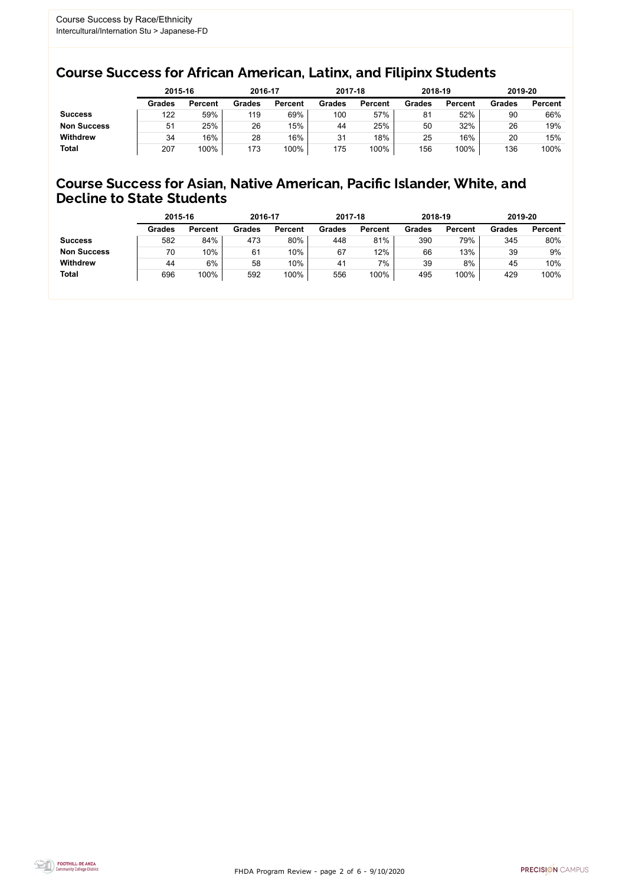FHDA Program Review - page 2 of 6 - 9/10/2020



### Course Success for African American, Latinx, and Filipinx Students

### Course Success for Asian, Native American, Pacific Islander, White, and Decline to State Students

|                    | 2015-16       |                | 2016-17       |                | 2017-18       |                | 2018-19       |                | 2019-20       |                |
|--------------------|---------------|----------------|---------------|----------------|---------------|----------------|---------------|----------------|---------------|----------------|
|                    | <b>Grades</b> | <b>Percent</b> | <b>Grades</b> | <b>Percent</b> | <b>Grades</b> | <b>Percent</b> | <b>Grades</b> | <b>Percent</b> | <b>Grades</b> | <b>Percent</b> |
| <b>Success</b>     | 122           | 59%            | 119           | 69%            | 100           | 57%            | 81            | 52%            | 90            | 66%            |
| <b>Non Success</b> | 51            | 25%            | 26            | 15%            | 44            | 25%            | 50            | 32%            | 26            | 19%            |
| <b>Withdrew</b>    | 34            | 16%            | 28            | 16%            | 31            | 18%            | 25            | 16%            | 20            | 15%            |
| <b>Total</b>       | 207           | 100%           | 173           | 100%           | 175           | 100%           | 156           | 100%           | 136           | 100%           |

|                    | 2015-16       |                | 2016-17       |                | 2017-18 |                | 2018-19       |                | 2019-20       |                |
|--------------------|---------------|----------------|---------------|----------------|---------|----------------|---------------|----------------|---------------|----------------|
|                    | <b>Grades</b> | <b>Percent</b> | <b>Grades</b> | <b>Percent</b> | Grades  | <b>Percent</b> | <b>Grades</b> | <b>Percent</b> | <b>Grades</b> | <b>Percent</b> |
| <b>Success</b>     | 582           | 84%            | 473           | 80%            | 448     | 81%            | 390           | 79%            | 345           | 80%            |
| <b>Non Success</b> | 70            | 10%            | 61            | 10%            | 67      | 12%            | 66            | 13%            | 39            | 9%             |
| <b>Withdrew</b>    | 44            | 6%             | 58            | 10%            | 41      | 7%             | 39            | 8%             | 45            | 10%            |
| <b>Total</b>       | 696           | 100%           | 592           | 100%           | 556     | 100%           | 495           | 100%           | 429           | 100%           |
|                    |               |                |               |                |         |                |               |                |               |                |

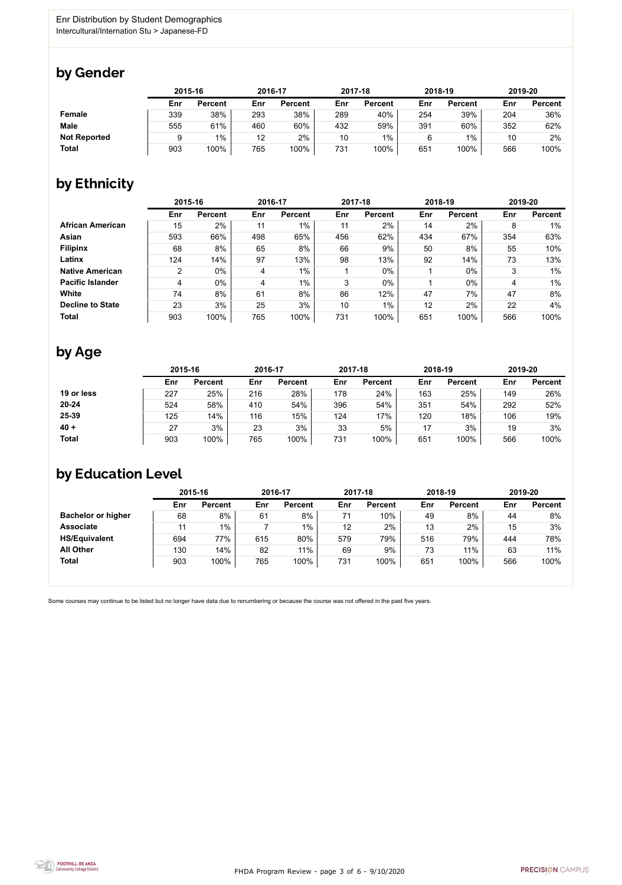

Some courses may continue to be listed but no longer have data due to renumbering or because the course was not offered in the past five years.



### by Gender

|                     | 2015-16 |                |     | 2016-17        |     | 2017-18        |     | 2018-19        | 2019-20 |                |
|---------------------|---------|----------------|-----|----------------|-----|----------------|-----|----------------|---------|----------------|
|                     | Enr     | <b>Percent</b> | Enr | <b>Percent</b> | Enr | <b>Percent</b> | Enr | <b>Percent</b> | Enr     | <b>Percent</b> |
| <b>Female</b>       | 339     | 38%            | 293 | 38%            | 289 | 40%            | 254 | 39%            | 204     | 36%            |
| <b>Male</b>         | 555     | 61%            | 460 | 60%            | 432 | 59%            | 391 | 60%            | 352     | 62%            |
| <b>Not Reported</b> |         | $1\%$          | 12  | 2%             | 10  | $1\%$          | 6   | $1\%$          | 10      | $2\%$          |
| <b>Total</b>        | 903     | 100%           | 765 | 100%           | 731 | 100%           | 651 | 100%           | 566     | 100%           |

### by Ethnicity

|                         |                | 2015-16        |     | 2016-17        |     | 2017-18        |     | 2018-19        | 2019-20 |                |
|-------------------------|----------------|----------------|-----|----------------|-----|----------------|-----|----------------|---------|----------------|
|                         | Enr            | <b>Percent</b> | Enr | <b>Percent</b> | Enr | <b>Percent</b> | Enr | <b>Percent</b> | Enr     | <b>Percent</b> |
| <b>African American</b> | 15             | 2%             | 11  | $1\%$          | 11  | $2\%$          | 14  | 2%             | 8       | $1\%$          |
| <b>Asian</b>            | 593            | 66%            | 498 | 65%            | 456 | 62%            | 434 | 67%            | 354     | 63%            |
| <b>Filipinx</b>         | 68             | 8%             | 65  | 8%             | 66  | 9%             | 50  | 8%             | 55      | 10%            |
| Latinx                  | 124            | 14%            | 97  | 13%            | 98  | 13%            | 92  | 14%            | 73      | 13%            |
| <b>Native American</b>  | $\overline{2}$ | $0\%$          | 4   | $1\%$          |     | $0\%$          |     | $0\%$          | 3       | $1\%$          |
| <b>Pacific Islander</b> | 4              | $0\%$          | 4   | $1\%$          | 3   | $0\%$          |     | $0\%$          | 4       | $1\%$          |
| <b>White</b>            | 74             | 8%             | 61  | 8%             | 86  | 12%            | 47  | 7%             | 47      | 8%             |
| <b>Decline to State</b> | 23             | 3%             | 25  | 3%             | 10  | $1\%$          | 12  | 2%             | 22      | 4%             |
| <b>Total</b>            | 903            | 100%           | 765 | 100%           | 731 | 100%           | 651 | 100%           | 566     | 100%           |

### by Age

|              | 2015-16 |                | 2016-17 |                |     | 2017-18        | 2018-19 |                | 2019-20 |                |
|--------------|---------|----------------|---------|----------------|-----|----------------|---------|----------------|---------|----------------|
|              | Enr     | <b>Percent</b> | Enr     | <b>Percent</b> | Enr | <b>Percent</b> | Enr     | <b>Percent</b> | Enr     | <b>Percent</b> |
| 19 or less   | 227     | 25%            | 216     | 28%            | 178 | 24%            | 163     | 25%            | 149     | 26%            |
| $20 - 24$    | 524     | 58%            | 410     | 54%            | 396 | 54%            | 351     | 54%            | 292     | 52%            |
| 25-39        | 125     | 14%            | 116     | 15%            | 124 | 17%            | 120     | 18%            | 106     | 19%            |
| $40 +$       | 27      | 3%             | 23      | 3%             | 33  | 5%             | 17      | 3%             | 19      | 3%             |
| <b>Total</b> | 903     | 100%           | 765     | 100%           | 731 | 100%           | 651     | 100%           | 566     | 100%           |

## by Education Level

|                           | 2015-16 |                |     | 2016-17        |     | 2017-18        |     | 2018-19        | 2019-20 |                |
|---------------------------|---------|----------------|-----|----------------|-----|----------------|-----|----------------|---------|----------------|
|                           | Enr     | <b>Percent</b> | Enr | <b>Percent</b> | Enr | <b>Percent</b> | Enr | <b>Percent</b> | Enr     | <b>Percent</b> |
| <b>Bachelor or higher</b> | 68      | 8%             | 61  | 8%             | 71  | 10%            | 49  | 8%             | 44      | 8%             |
| <b>Associate</b>          | 11      | $1\%$          |     | $1\%$          | 12  | 2%             | 13  | 2%             | 15      | 3%             |
| <b>HS/Equivalent</b>      | 694     | 77%            | 615 | 80%            | 579 | 79%            | 516 | 79%            | 444     | 78%            |
| <b>All Other</b>          | 130     | 14%            | 82  | 11%            | 69  | 9%             | 73  | 11%            | 63      | 11%            |
| <b>Total</b>              | 903     | 100%           | 765 | 100%           | 731 | 100%           | 651 | 100%           | 566     | 100%           |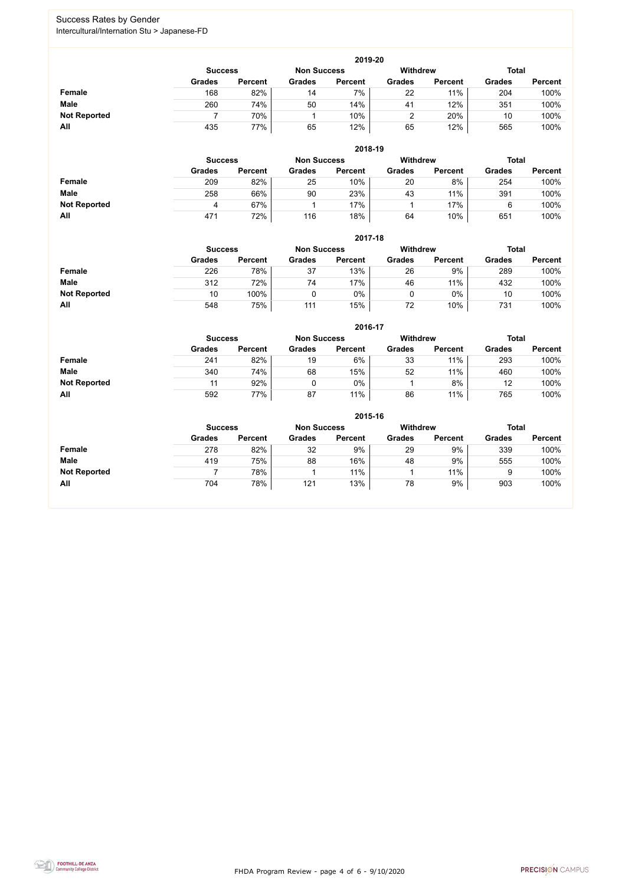FHDA Program Review - page 4 of 6 - 9/10/2020



### Success Rates by Gender Intercultural/Internation Stu > Japanese-FD

|                     | 2019-20                                                                 |                |               |                |               |                |               |                |  |  |  |  |  |
|---------------------|-------------------------------------------------------------------------|----------------|---------------|----------------|---------------|----------------|---------------|----------------|--|--|--|--|--|
|                     | <b>Withdrew</b><br><b>Total</b><br><b>Non Success</b><br><b>Success</b> |                |               |                |               |                |               |                |  |  |  |  |  |
|                     | <b>Grades</b>                                                           | <b>Percent</b> | <b>Grades</b> | <b>Percent</b> | <b>Grades</b> | <b>Percent</b> | <b>Grades</b> | <b>Percent</b> |  |  |  |  |  |
| <b>Female</b>       | 168                                                                     | 82%            | 14            | 7%             | 22            | 11%            | 204           | 100%           |  |  |  |  |  |
| <b>Male</b>         | 260                                                                     | 74%            | 50            | 14%            | 41            | 12%            | 351           | 100%           |  |  |  |  |  |
| <b>Not Reported</b> |                                                                         | 70%            |               | 10%            |               | 20%            | 10            | 100%           |  |  |  |  |  |
| All                 | 435                                                                     | 77%            | 65            | 12%            | 65            | 12%            | 565           | 100%           |  |  |  |  |  |

|                     |               |                                                         |               | 2018-19        |               |                |               |                |  |
|---------------------|---------------|---------------------------------------------------------|---------------|----------------|---------------|----------------|---------------|----------------|--|
|                     |               | <b>Withdrew</b><br><b>Non Success</b><br><b>Success</b> |               |                |               |                |               |                |  |
|                     | <b>Grades</b> | <b>Percent</b>                                          | <b>Grades</b> | <b>Percent</b> | <b>Grades</b> | <b>Percent</b> | <b>Grades</b> | <b>Percent</b> |  |
| <b>Female</b>       | 209           | 82%                                                     | 25            | $10\%$         | 20            | 8%             | 254           | 100%           |  |
| <b>Male</b>         | 258           | 66%                                                     | 90            | 23%            | 43            | 11%            | 391           | 100%           |  |
| <b>Not Reported</b> | 4             | 67%                                                     |               | 17%            |               | 17%            | 6             | 100%           |  |
| All                 | 471           | 72%                                                     | 116           | 18%            | 64            | 10%            | 651           | 100%           |  |

|                     |               | 2017-18                                                                 |               |                |               |                |               |                |  |  |  |  |  |  |
|---------------------|---------------|-------------------------------------------------------------------------|---------------|----------------|---------------|----------------|---------------|----------------|--|--|--|--|--|--|
|                     |               | <b>Withdrew</b><br><b>Total</b><br><b>Non Success</b><br><b>Success</b> |               |                |               |                |               |                |  |  |  |  |  |  |
|                     | <b>Grades</b> | <b>Percent</b>                                                          | <b>Grades</b> | <b>Percent</b> | <b>Grades</b> | <b>Percent</b> | <b>Grades</b> | <b>Percent</b> |  |  |  |  |  |  |
| Female              | 226           | 78%                                                                     | 37            | 13%            | 26            | 9%             | 289           | 100%           |  |  |  |  |  |  |
| <b>Male</b>         | 312           | 72%                                                                     | 74            | 17%            | 46            | 11%            | 432           | 100%           |  |  |  |  |  |  |
| <b>Not Reported</b> | 10            | 100%                                                                    |               | $0\%$          | 0             | $0\%$          | 10            | 100%           |  |  |  |  |  |  |
| All                 | 548           | 75%                                                                     | 111           | 15%            | 72            | 10%            | 731           | 100%           |  |  |  |  |  |  |

|                     |               | 2016-17        |               |                |                 |                |               |                |  |  |
|---------------------|---------------|----------------|---------------|----------------|-----------------|----------------|---------------|----------------|--|--|
|                     |               | <b>Success</b> |               |                | <b>Withdrew</b> |                | <b>Total</b>  |                |  |  |
|                     | <b>Grades</b> | <b>Percent</b> | <b>Grades</b> | <b>Percent</b> | <b>Grades</b>   | <b>Percent</b> | <b>Grades</b> | <b>Percent</b> |  |  |
| Female              | 241           | 82%            | 19            | 6%             | 33              | 11%            | 293           | 100%           |  |  |
| <b>Male</b>         | 340           | 74%            | 68            | 15%            | 52              | 11%            | 460           | 100%           |  |  |
| <b>Not Reported</b> | 11            | 92%            |               | 0%             |                 | 8%             | 12            | 100%           |  |  |
| All                 | 592           | 77%            | 87            | 11%            | 86              | 11%            | 765           | 100%           |  |  |

|                     | 2015-16        |                |                    |                |               |                |               |                |  |
|---------------------|----------------|----------------|--------------------|----------------|---------------|----------------|---------------|----------------|--|
|                     | <b>Success</b> |                | <b>Non Success</b> |                | Withdrew      |                | <b>Total</b>  |                |  |
|                     | <b>Grades</b>  | <b>Percent</b> | <b>Grades</b>      | <b>Percent</b> | <b>Grades</b> | <b>Percent</b> | <b>Grades</b> | <b>Percent</b> |  |
| Female              | 278            | 82%            | 32                 | 9%             | 29            | 9%             | 339           | 100%           |  |
| <b>Male</b>         | 419            | 75%            | 88                 | 16%            | 48            | 9%             | 555           | 100%           |  |
| <b>Not Reported</b> |                | 78%            |                    | 11%            |               | 11%            | 9             | 100%           |  |
| All                 | 704            | 78%            | 121                | 13%            | 78            | 9%             | 903           | 100%           |  |

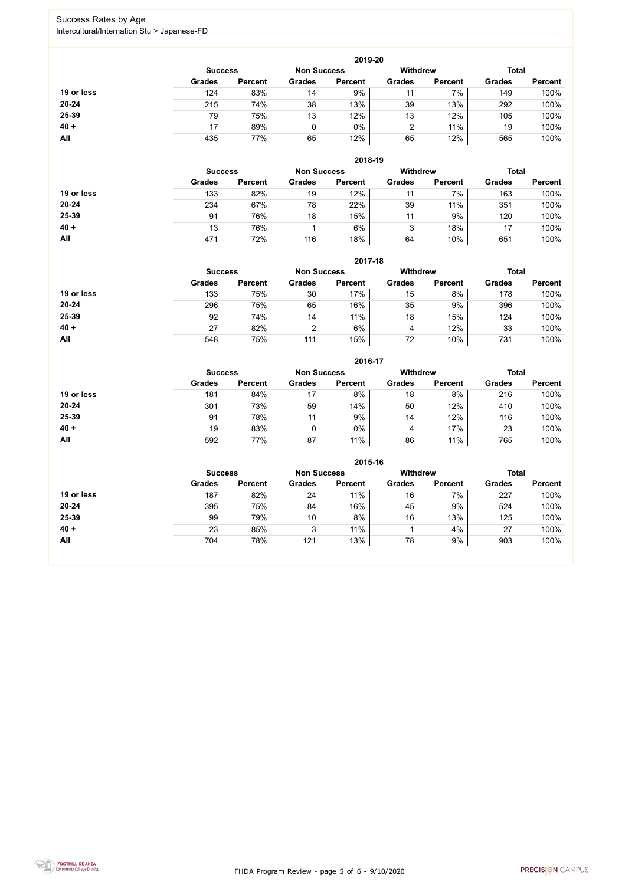FHDA Program Review - page 5 of 6 - 9/10/2020



### Success Rates by Age Intercultural/Internation Stu > Japanese-FD

|            | 2019-20        |                    |               |                |                                 |                |               |                |  |
|------------|----------------|--------------------|---------------|----------------|---------------------------------|----------------|---------------|----------------|--|
|            | <b>Success</b> | <b>Non Success</b> |               |                | <b>Withdrew</b><br><b>Total</b> |                |               |                |  |
|            | <b>Grades</b>  | <b>Percent</b>     | <b>Grades</b> | <b>Percent</b> | <b>Grades</b>                   | <b>Percent</b> | <b>Grades</b> | <b>Percent</b> |  |
| 19 or less | 124            | 83%                | 14            | 9%             |                                 | 7%             | 149           | 100%           |  |
| $20 - 24$  | 215            | 74%                | 38            | 13%            | 39                              | 13%            | 292           | 100%           |  |
| 25-39      | 79             | 75%                | 13            | 12%            | 13                              | 12%            | 105           | 100%           |  |
| $40 +$     | 17             | 89%                |               | 0%             |                                 | 11%            | 19            | 100%           |  |
| All        | 435            | 77%                | 65            | 12%            | 65                              | 12%            | 565           | 100%           |  |

|            |                | 2018-19            |               |                 |               |                |               |                |  |  |
|------------|----------------|--------------------|---------------|-----------------|---------------|----------------|---------------|----------------|--|--|
|            | <b>Success</b> | <b>Non Success</b> |               | <b>Withdrew</b> |               | <b>Total</b>   |               |                |  |  |
|            | <b>Grades</b>  | <b>Percent</b>     | <b>Grades</b> | <b>Percent</b>  | <b>Grades</b> | <b>Percent</b> | <b>Grades</b> | <b>Percent</b> |  |  |
| 19 or less | 133            | 82%                | 19            | 12%             | 11            | 7%             | 163           | 100%           |  |  |
| $20 - 24$  | 234            | 67%                | 78            | 22%             | 39            | 11%            | 351           | 100%           |  |  |
| 25-39      | 91             | 76%                | 18            | 15%             | 11            | 9%             | 120           | 100%           |  |  |
| $40 +$     | 13             | 76%                |               | 6%              | 3             | 18%            | 17            | 100%           |  |  |
| All        | 471            | 72%                | 116           | 18%             | 64            | 10%            | 651           | 100%           |  |  |

|            | 2017-18        |                |                |                    |                 |                |               |                |  |  |
|------------|----------------|----------------|----------------|--------------------|-----------------|----------------|---------------|----------------|--|--|
|            | <b>Success</b> |                |                | <b>Non Success</b> | <b>Withdrew</b> |                | <b>Total</b>  |                |  |  |
|            | <b>Grades</b>  | <b>Percent</b> | <b>Grades</b>  | <b>Percent</b>     | <b>Grades</b>   | <b>Percent</b> | <b>Grades</b> | <b>Percent</b> |  |  |
| 19 or less | 133            | 75%            | 30             | 17%                | 15              | 8%             | 178           | 100%           |  |  |
| $20 - 24$  | 296            | 75%            | 65             | 16%                | 35              | 9%             | 396           | 100%           |  |  |
| 25-39      | 92             | 74%            | 14             | 11%                | 18              | 15%            | 124           | 100%           |  |  |
| $40 +$     | 27             | 82%            | $\overline{2}$ | 6%                 | 4               | 12%            | 33            | 100%           |  |  |
| All        | 548            | 75%            | 111            | 15%                | 72              | 10%            | 731           | 100%           |  |  |

|            | 2016-17        |                |               |                    |                 |                |               |                |  |  |
|------------|----------------|----------------|---------------|--------------------|-----------------|----------------|---------------|----------------|--|--|
|            | <b>Success</b> |                |               | <b>Non Success</b> | <b>Withdrew</b> |                | <b>Total</b>  |                |  |  |
|            | <b>Grades</b>  | <b>Percent</b> | <b>Grades</b> | <b>Percent</b>     | <b>Grades</b>   | <b>Percent</b> | <b>Grades</b> | <b>Percent</b> |  |  |
| 19 or less | 181            | 84%            | 17            | 8%                 | 18              | 8%             | 216           | 100%           |  |  |
| $20 - 24$  | 301            | 73%            | 59            | 14%                | 50              | 12%            | 410           | 100%           |  |  |
| 25-39      | 91             | 78%            | 11            | 9%                 | 14              | 12%            | 116           | 100%           |  |  |
| $40 +$     | 19             | 83%            | 0             | 0%                 | 4               | 17%            | 23            | 100%           |  |  |
| All        | 592            | 77%            | 87            | 11%                | 86              | 11%            | 765           | 100%           |  |  |

|            |                |                    |               | 2015-16         |               |                |               |                |
|------------|----------------|--------------------|---------------|-----------------|---------------|----------------|---------------|----------------|
|            | <b>Success</b> | <b>Non Success</b> |               | <b>Withdrew</b> |               | <b>Total</b>   |               |                |
|            | <b>Grades</b>  | <b>Percent</b>     | <b>Grades</b> | <b>Percent</b>  | <b>Grades</b> | <b>Percent</b> | <b>Grades</b> | <b>Percent</b> |
| 19 or less | 187            | 82%                | 24            | 11%             | 16            | 7%             | 227           | 100%           |
| $20 - 24$  | 395            | 75%                | 84            | 16%             | 45            | 9%             | 524           | 100%           |
| 25-39      | 99             | 79%                | 10            | 8%              | 16            | 13%            | 125           | 100%           |
| $40 +$     | 23             | 85%                | ິ<br>J        | 11%             |               | 4%             | 27            | 100%           |
| All        | 704            | 78%                | 121           | 13%             | 78            | 9%             | 903           | 100%           |